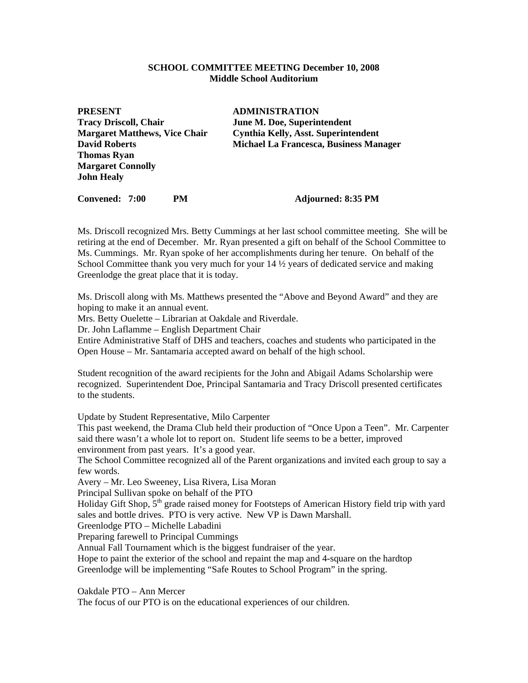#### **SCHOOL COMMITTEE MEETING December 10, 2008 Middle School Auditorium**

**PRESENT ADMINISTRATION Tracy Driscoll, Chair June M. Doe, Superintendent Thomas Ryan Margaret Connolly John Healy** 

**Margaret Matthews, Vice Chair Cynthia Kelly, Asst. Superintendent David Roberts Michael La Francesca, Business Manager** 

**Convened: 7:00 PM Adjourned: 8:35 PM** 

Ms. Driscoll recognized Mrs. Betty Cummings at her last school committee meeting. She will be retiring at the end of December. Mr. Ryan presented a gift on behalf of the School Committee to Ms. Cummings. Mr. Ryan spoke of her accomplishments during her tenure. On behalf of the School Committee thank you very much for your 14  $\frac{1}{2}$  years of dedicated service and making Greenlodge the great place that it is today.

Ms. Driscoll along with Ms. Matthews presented the "Above and Beyond Award" and they are hoping to make it an annual event.

Mrs. Betty Ouelette – Librarian at Oakdale and Riverdale.

Dr. John Laflamme – English Department Chair

Entire Administrative Staff of DHS and teachers, coaches and students who participated in the Open House – Mr. Santamaria accepted award on behalf of the high school.

Student recognition of the award recipients for the John and Abigail Adams Scholarship were recognized. Superintendent Doe, Principal Santamaria and Tracy Driscoll presented certificates to the students.

Update by Student Representative, Milo Carpenter

This past weekend, the Drama Club held their production of "Once Upon a Teen". Mr. Carpenter said there wasn't a whole lot to report on. Student life seems to be a better, improved environment from past years. It's a good year.

The School Committee recognized all of the Parent organizations and invited each group to say a few words.

Avery – Mr. Leo Sweeney, Lisa Rivera, Lisa Moran

Principal Sullivan spoke on behalf of the PTO

Holiday Gift Shop,  $5<sup>th</sup>$  grade raised money for Footsteps of American History field trip with yard sales and bottle drives. PTO is very active. New VP is Dawn Marshall.

Greenlodge PTO – Michelle Labadini

Preparing farewell to Principal Cummings

Annual Fall Tournament which is the biggest fundraiser of the year.

Hope to paint the exterior of the school and repaint the map and 4-square on the hardtop Greenlodge will be implementing "Safe Routes to School Program" in the spring.

Oakdale PTO – Ann Mercer

The focus of our PTO is on the educational experiences of our children.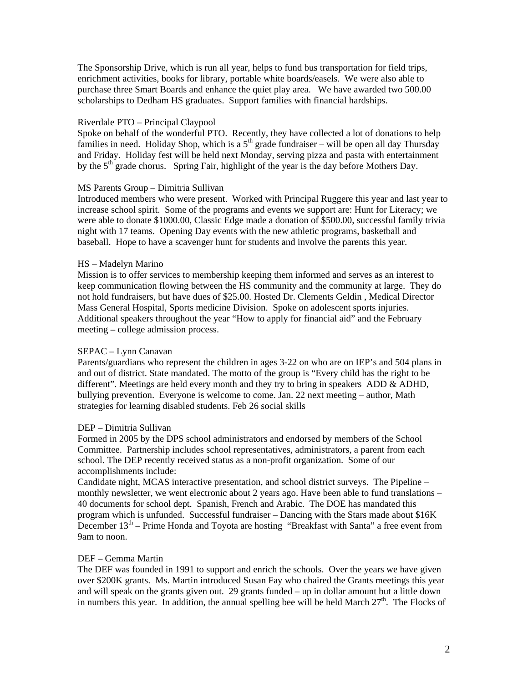The Sponsorship Drive, which is run all year, helps to fund bus transportation for field trips, enrichment activities, books for library, portable white boards/easels. We were also able to purchase three Smart Boards and enhance the quiet play area. We have awarded two 500.00 scholarships to Dedham HS graduates. Support families with financial hardships.

## Riverdale PTO – Principal Claypool

Spoke on behalf of the wonderful PTO. Recently, they have collected a lot of donations to help families in need. Holiday Shop, which is a  $5<sup>th</sup>$  grade fundraiser – will be open all day Thursday and Friday. Holiday fest will be held next Monday, serving pizza and pasta with entertainment by the  $5<sup>th</sup>$  grade chorus. Spring Fair, highlight of the year is the day before Mothers Day.

## MS Parents Group – Dimitria Sullivan

Introduced members who were present. Worked with Principal Ruggere this year and last year to increase school spirit. Some of the programs and events we support are: Hunt for Literacy; we were able to donate \$1000.00, Classic Edge made a donation of \$500.00, successful family trivia night with 17 teams. Opening Day events with the new athletic programs, basketball and baseball. Hope to have a scavenger hunt for students and involve the parents this year.

## HS – Madelyn Marino

Mission is to offer services to membership keeping them informed and serves as an interest to keep communication flowing between the HS community and the community at large. They do not hold fundraisers, but have dues of \$25.00. Hosted Dr. Clements Geldin , Medical Director Mass General Hospital, Sports medicine Division. Spoke on adolescent sports injuries. Additional speakers throughout the year "How to apply for financial aid" and the February meeting – college admission process.

# SEPAC – Lynn Canavan

Parents/guardians who represent the children in ages 3-22 on who are on IEP's and 504 plans in and out of district. State mandated. The motto of the group is "Every child has the right to be different". Meetings are held every month and they try to bring in speakers ADD & ADHD, bullying prevention. Everyone is welcome to come. Jan. 22 next meeting – author, Math strategies for learning disabled students. Feb 26 social skills

## DEP – Dimitria Sullivan

Formed in 2005 by the DPS school administrators and endorsed by members of the School Committee. Partnership includes school representatives, administrators, a parent from each school. The DEP recently received status as a non-profit organization. Some of our accomplishments include:

Candidate night, MCAS interactive presentation, and school district surveys. The Pipeline – monthly newsletter, we went electronic about 2 years ago. Have been able to fund translations – 40 documents for school dept. Spanish, French and Arabic. The DOE has mandated this program which is unfunded. Successful fundraiser – Dancing with the Stars made about \$16K December  $13<sup>th</sup>$  – Prime Honda and Toyota are hosting "Breakfast with Santa" a free event from 9am to noon.

## DEF – Gemma Martin

The DEF was founded in 1991 to support and enrich the schools. Over the years we have given over \$200K grants. Ms. Martin introduced Susan Fay who chaired the Grants meetings this year and will speak on the grants given out. 29 grants funded – up in dollar amount but a little down in numbers this year. In addition, the annual spelling bee will be held March  $27<sup>th</sup>$ . The Flocks of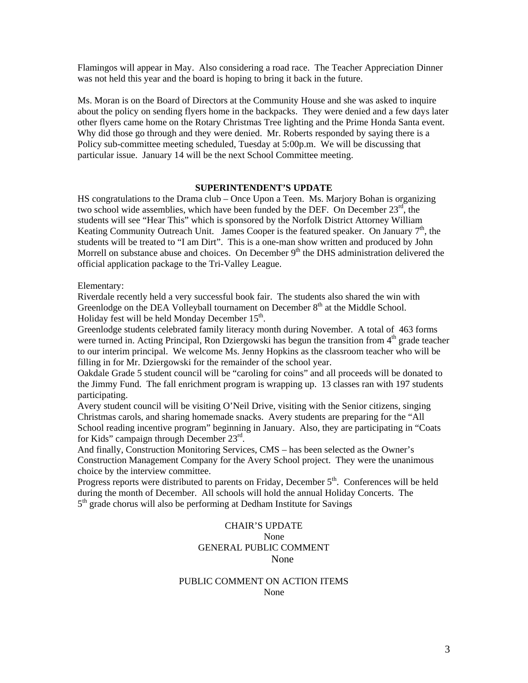Flamingos will appear in May. Also considering a road race. The Teacher Appreciation Dinner was not held this year and the board is hoping to bring it back in the future.

Ms. Moran is on the Board of Directors at the Community House and she was asked to inquire about the policy on sending flyers home in the backpacks. They were denied and a few days later other flyers came home on the Rotary Christmas Tree lighting and the Prime Honda Santa event. Why did those go through and they were denied. Mr. Roberts responded by saying there is a Policy sub-committee meeting scheduled, Tuesday at 5:00p.m. We will be discussing that particular issue. January 14 will be the next School Committee meeting.

## **SUPERINTENDENT'S UPDATE**

HS congratulations to the Drama club – Once Upon a Teen. Ms. Marjory Bohan is organizing two school wide assemblies, which have been funded by the DEF. On December  $23<sup>rd</sup>$ , the students will see "Hear This" which is sponsored by the Norfolk District Attorney William Keating Community Outreach Unit. James Cooper is the featured speaker. On January  $7<sup>th</sup>$ , the students will be treated to "I am Dirt". This is a one-man show written and produced by John Morrell on substance abuse and choices. On December  $9<sup>th</sup>$  the DHS administration delivered the official application package to the Tri-Valley League.

#### Elementary:

Riverdale recently held a very successful book fair. The students also shared the win with Greenlodge on the DEA Volleyball tournament on December  $8<sup>th</sup>$  at the Middle School. Holiday fest will be held Monday December  $15<sup>th</sup>$ .

Greenlodge students celebrated family literacy month during November. A total of 463 forms were turned in. Acting Principal, Ron Dziergowski has begun the transition from  $4<sup>th</sup>$  grade teacher to our interim principal. We welcome Ms. Jenny Hopkins as the classroom teacher who will be filling in for Mr. Dziergowski for the remainder of the school year.

Oakdale Grade 5 student council will be "caroling for coins" and all proceeds will be donated to the Jimmy Fund. The fall enrichment program is wrapping up. 13 classes ran with 197 students participating.

Avery student council will be visiting O'Neil Drive, visiting with the Senior citizens, singing Christmas carols, and sharing homemade snacks. Avery students are preparing for the "All School reading incentive program" beginning in January. Also, they are participating in "Coats for Kids" campaign through December  $23^{\text{rd}}$ .

And finally, Construction Monitoring Services, CMS – has been selected as the Owner's Construction Management Company for the Avery School project. They were the unanimous choice by the interview committee.

Progress reports were distributed to parents on Friday, December  $5<sup>th</sup>$ . Conferences will be held during the month of December. All schools will hold the annual Holiday Concerts. The  $5<sup>th</sup>$  grade chorus will also be performing at Dedham Institute for Savings

# CHAIR'S UPDATE None GENERAL PUBLIC COMMENT None None

## PUBLIC COMMENT ON ACTION ITEMS None None